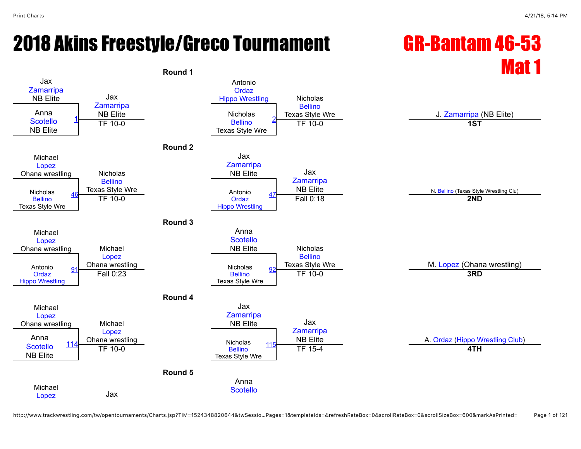# 2018 Akins Freestyle/Greco Tournament GR-Bantam 46-53

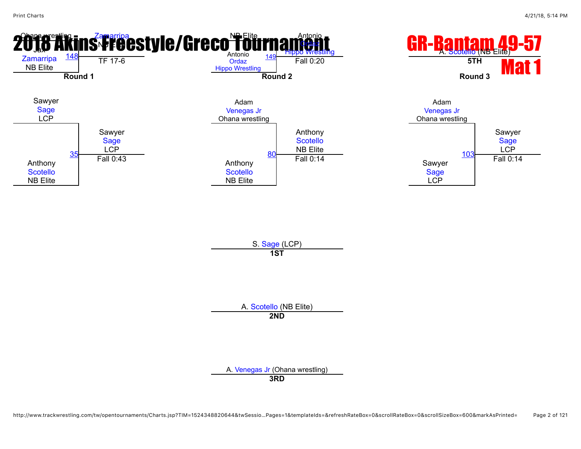

A. [Scotello](javascript:viewProfile(1229049096)) (NB Elite) **2ND**

A. [Venegas Jr](javascript:viewProfile(1778851096)) (Ohana wrestling) **3RD**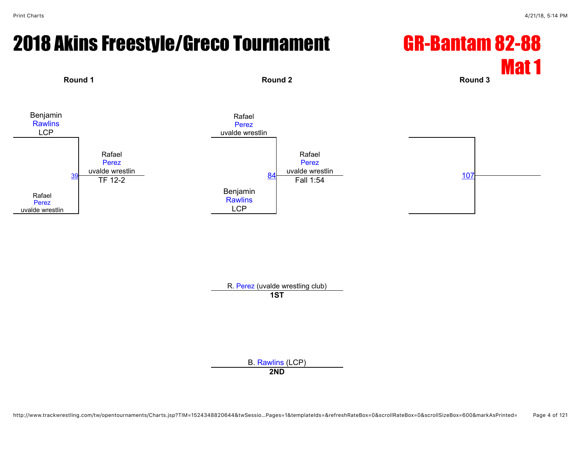Rafael [Perez](javascript:viewProfile(110628096)) uvalde wrestlin [39](javascript:openBoutSheet(1,)

#### 2018 Akins Freestyle/Greco Tournament GR-Bantam 82-88 Mat 1 **Round 1 Round 2 Round 3** Benjamin **[Rawlins](javascript:viewProfile(1188487096))** LCP Rafael [Perez](javascript:viewProfile(110628096)) uvalde wrestlin Rafael [Perez](javascript:viewProfile(110628096)) uvalde wrestlin Rafael [Perez](javascript:viewProfile(110628096)) uvalde wrestlin

 $\frac{84}{\text{Fall 1:54}}$  $\frac{84}{\text{Fall 1:54}}$  $\frac{84}{\text{Fall 1:54}}$  [107](javascript:openBoutSheet(3,)

Benjamin **[Rawlins](javascript:viewProfile(1188487096))** LCP

R. [Perez](javascript:viewProfile(110628096)) (uvalde wrestling club)

**1ST**

B. [Rawlins](javascript:viewProfile(1188487096)) (LCP)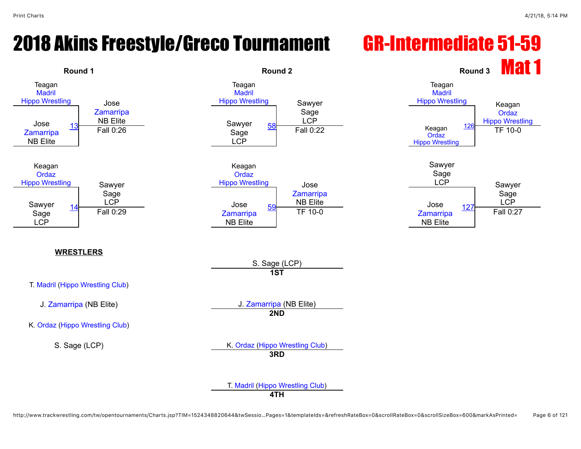#### 2018 Akins Freestyle/Greco Tournament GR-Intermediate 51-59



http://www.trackwrestling.com/tw/opentournaments/Charts.jsp?TIM=1524348820644&twSessio…Pages=1&templateIds=&refreshRateBox=0&scrollRateBox=0&scrollSizeBox=600&markAsPrinted= Page 6 of 121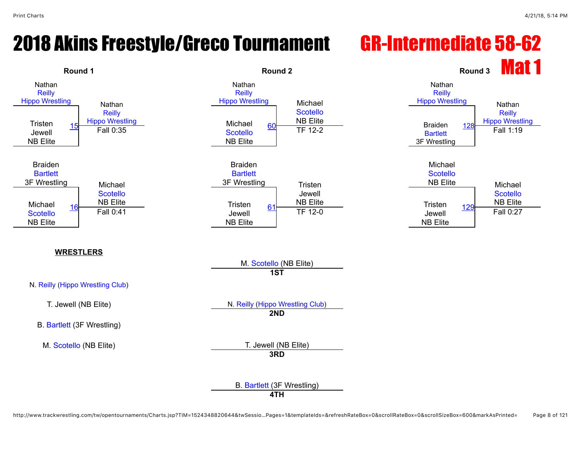#### 2018 Akins Freestyle/Greco Tournament GR-Intermediate 58-62

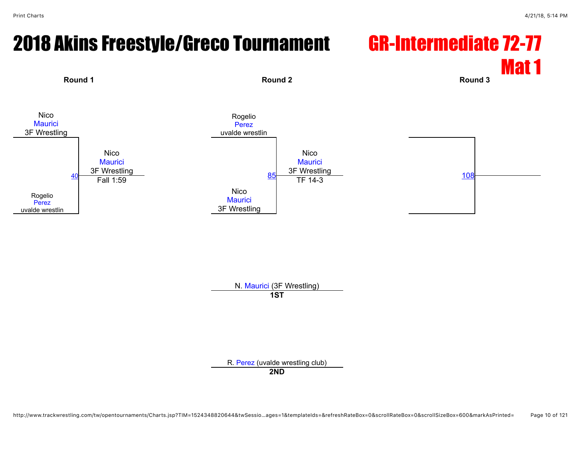#### 2018 Akins Freestyle/Greco Tournament GR-Intermediate 72-77 Mat 1



N. [Maurici](javascript:viewProfile(644023096)) (3F Wrestling) **1ST**

R. [Perez](javascript:viewProfile(110633096)) (uvalde wrestling club)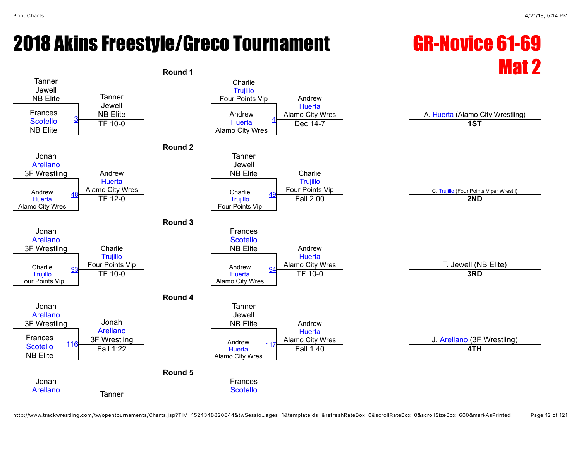# 2018 Akins Freestyle/Greco Tournament GR-Novice 61-69

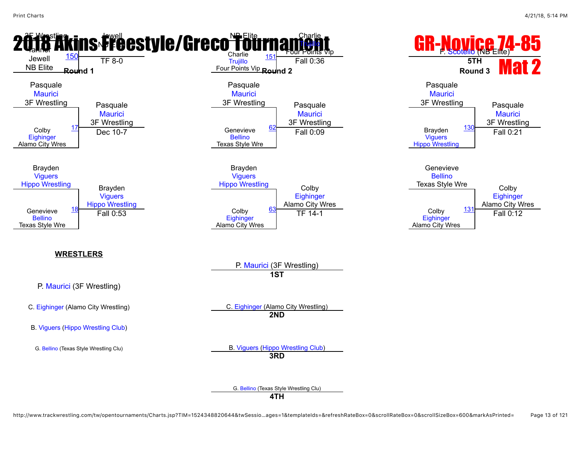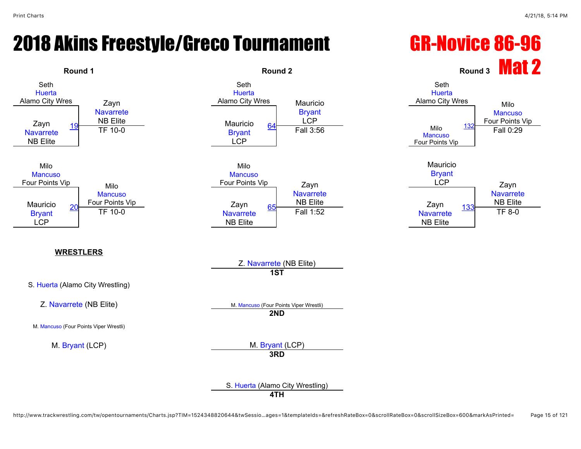### 2018 Akins Freestyle/Greco Tournament GR-Novice 86-96

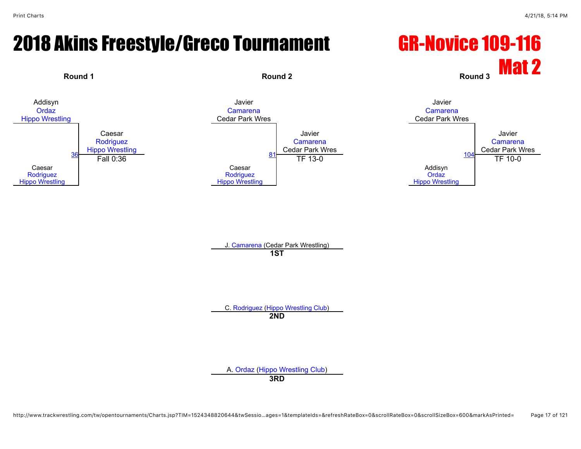#### 2018 Akins Freestyle/Greco Tournament GR-Novice 109-116





J. [Camarena](javascript:viewProfile(1591462009)) (Cedar Park Wrestling) **1ST**

C. [Rodriguez](javascript:viewProfile(651476132)) [\(Hippo Wrestling Club\)](javascript:viewClub(257903009)) **2ND**

A. [Ordaz](javascript:viewProfile(651522132)) ([Hippo Wrestling Club\)](javascript:viewClub(257903009)) **3RD**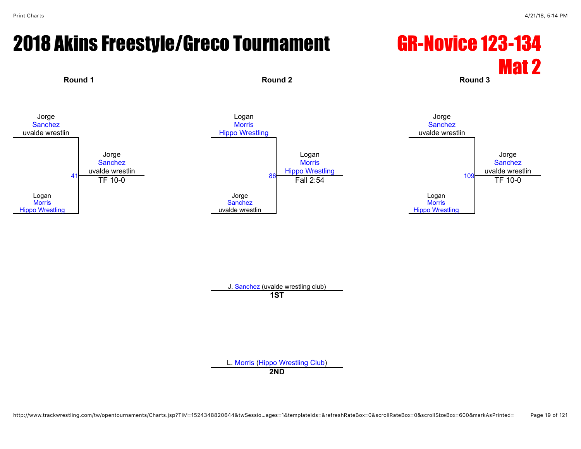### 2018 Akins Freestyle/Greco Tournament GR-Novice 123-134

# Mat 2



J. [Sanchez](javascript:viewProfile(1122303096)) (uvalde wrestling club)

**1ST**

L. [Morris](javascript:viewProfile(627103132)) ([Hippo Wrestling Club\)](javascript:viewClub(257903009))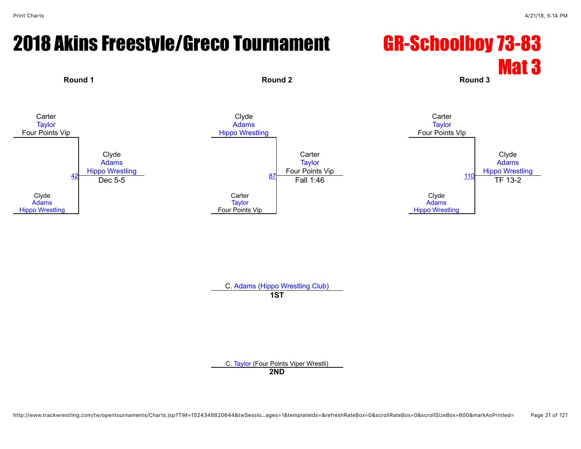### 2018 Akins Freestyle/Greco Tournament GR-Schoolboy 73-83

# Mat 3









C. [Adams](javascript:viewProfile(935208096)) [\(Hippo Wrestling Club](javascript:viewClub(257903009)))

**1ST**

C. [Taylor](javascript:viewProfile(47654096)) (Four Points Viper Wrestli)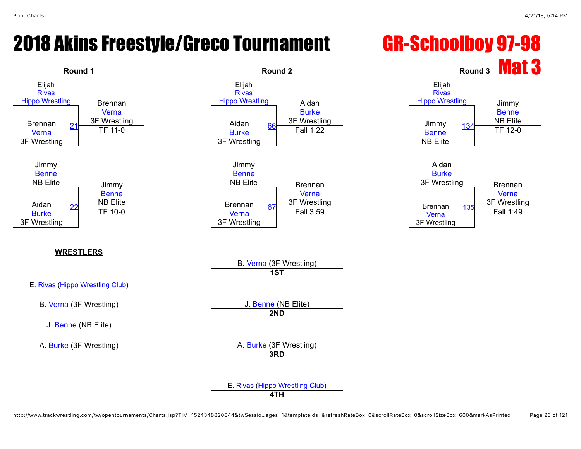#### 2018 Akins Freestyle/Greco Tournament GR-Schoolboy 97-98

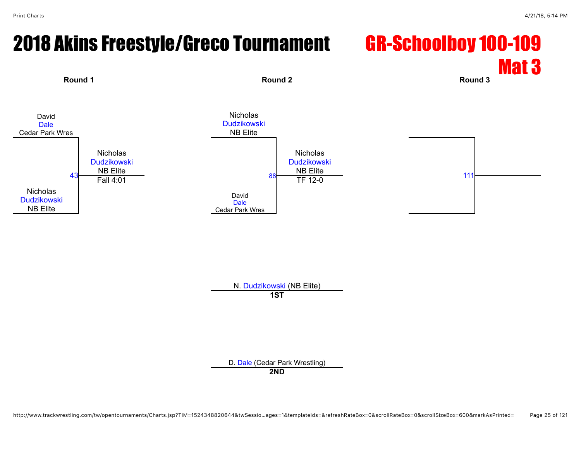# 2018 Akins Freestyle/Greco Tournament GR-Schoolboy 100-109

# Mat 3 **Round 1 Round 2 Round 3**







N. [Dudzikowski](javascript:viewProfile(650653096)) (NB Elite) **1ST**

D. [Dale](javascript:viewProfile(1008696009)) (Cedar Park Wrestling)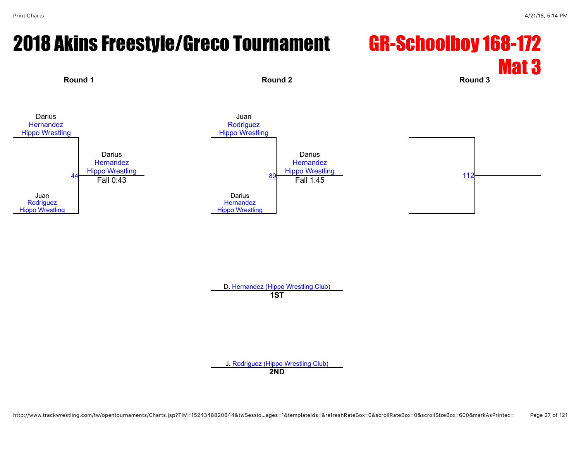#### 2018 Akins Freestyle/Greco Tournament GR-Schoolboy 168-172 Mat 3



D. [Hernandez](javascript:viewProfile(2510123)) ([Hippo Wrestling Club](javascript:viewClub(257903009))) **1ST**

J. [Rodriguez](javascript:viewProfile(25406132)) [\(Hippo Wrestling Club\)](javascript:viewClub(257903009))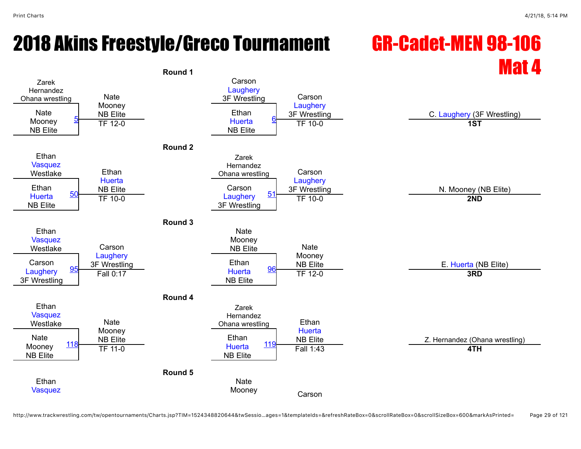## 2018 Akins Freestyle/Greco Tournament GR-Cadet-MEN 98-106

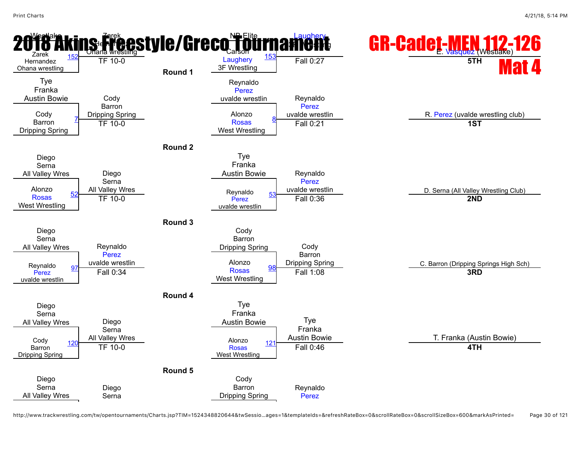

http://www.trackwrestling.com/tw/opentournaments/Charts.jsp?TIM=1524348820644&twSessio…ages=1&templateIds=&refreshRateBox=0&scrollRateBox=0&scrollSizeBox=600&markAsPrinted= Page 30 of 121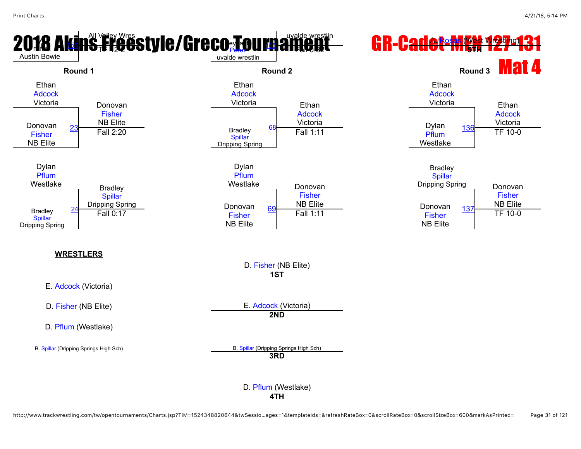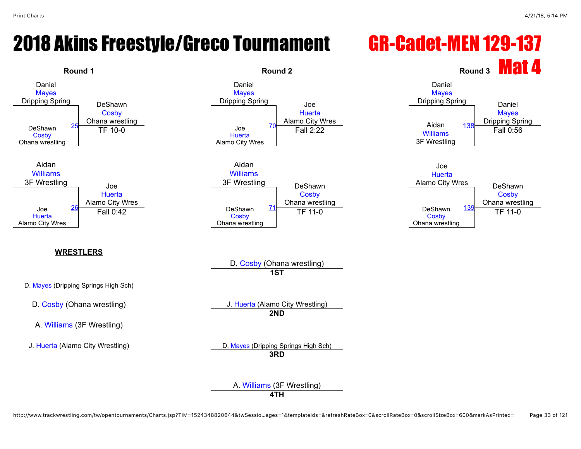#### 2018 Akins Freestyle/Greco Tournament GR-Cadet-MEN 129-137

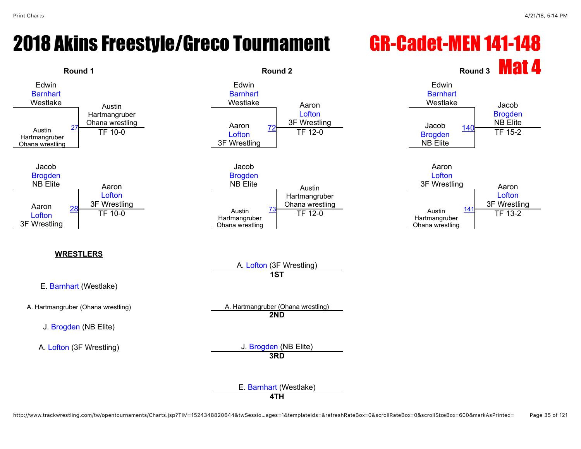#### 2018 Akins Freestyle/Greco Tournament GR-Cadet-MEN 141-148

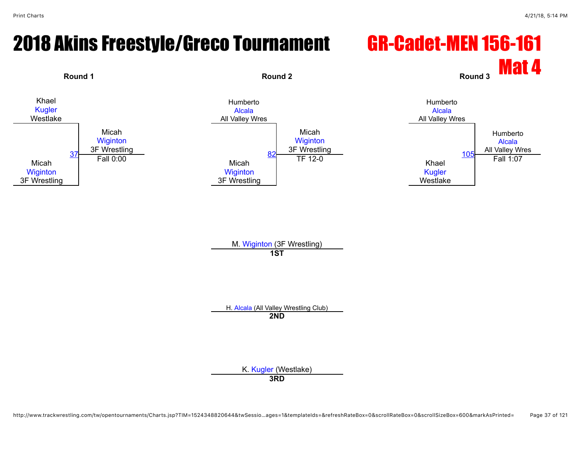# 2018 Akins Freestyle/Greco Tournament GR-Cadet-MEN 156-161



M. [Wiginton](javascript:viewProfile(73186009)) (3F Wrestling) **1ST**

H. [Alcala](javascript:viewProfile(1102862096)) (All Valley Wrestling Club) **2ND**

K. [Kugler](javascript:viewProfile(1789942096)) (Westlake)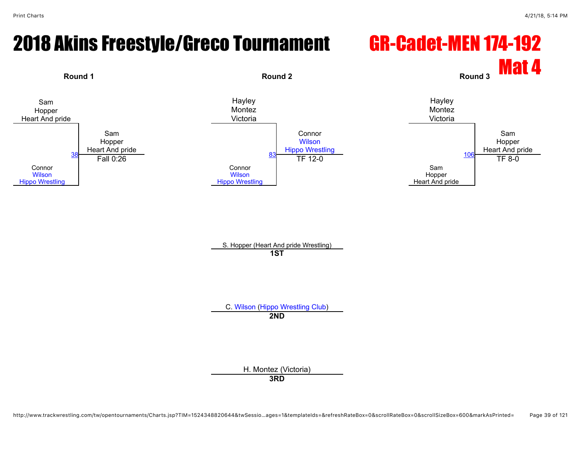# 2018 Akins Freestyle/Greco Tournament GR-Cadet-MEN 174-192



S. Hopper (Heart And pride Wrestling) **1ST**

C. [Wilson](javascript:viewProfile(1008759009)) [\(Hippo Wrestling Club](javascript:viewClub(257903009))) **2ND**

H. Montez (Victoria)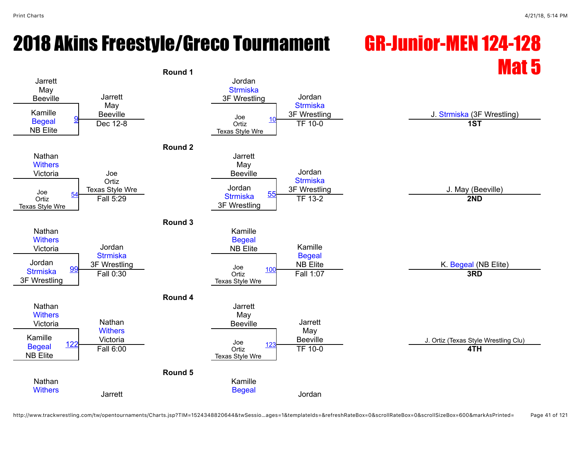# 2018 Akins Freestyle/Greco Tournament GR-Junior-MEN 124-128

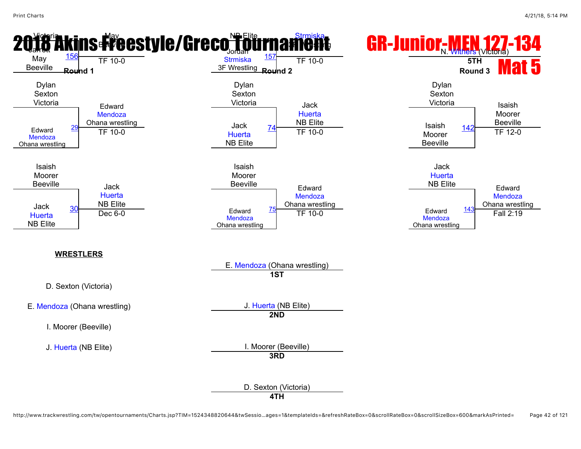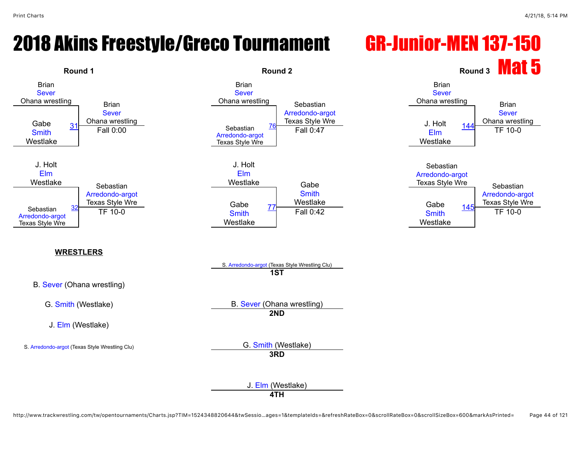#### 2018 Akins Freestyle/Greco Tournament GR-Junior-MEN 137-150



http://www.trackwrestling.com/tw/opentournaments/Charts.jsp?TIM=1524348820644&twSessio…ages=1&templateIds=&refreshRateBox=0&scrollRateBox=0&scrollSizeBox=600&markAsPrinted= Page 44 of 121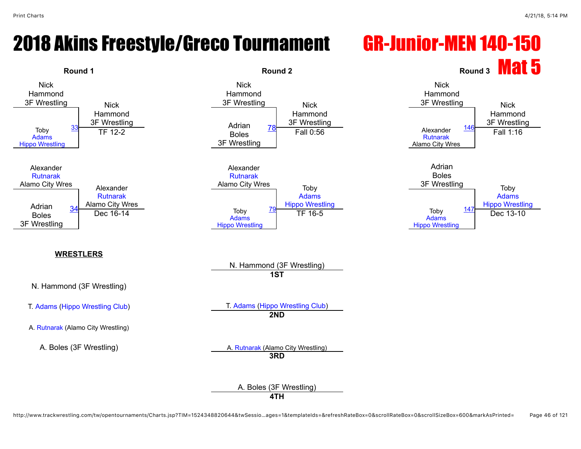# 2018 Akins Freestyle/Greco Tournament GR-Junior-MEN 140-150

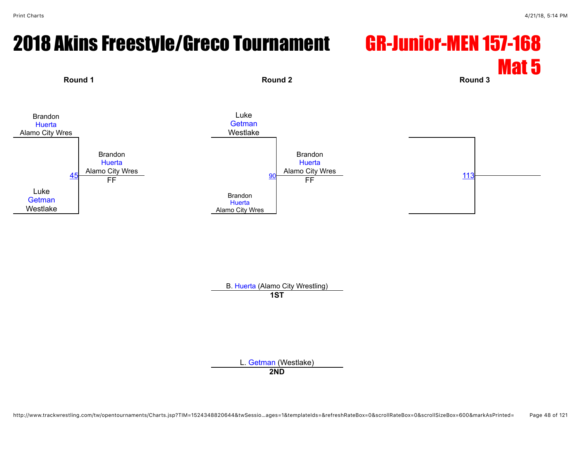#### 2018 Akins Freestyle/Greco Tournament GR-Junior-MEN 157-168 Mat 5 **Round 1 Round 2 Round 3**



B. [Huerta](javascript:viewProfile(166200132)) (Alamo City Wrestling) **1ST**

L. [Getman](javascript:viewProfile(1008735009)) (Westlake)

**2ND**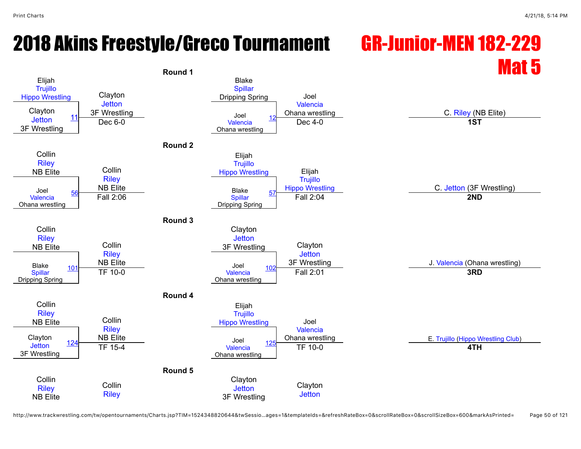# 2018 Akins Freestyle/Greco Tournament GR-Junior-MEN 182-229



http://www.trackwrestling.com/tw/opentournaments/Charts.jsp?TIM=1524348820644&twSessio…ages=1&templateIds=&refreshRateBox=0&scrollRateBox=0&scrollSizeBox=600&markAsPrinted= Page 50 of 121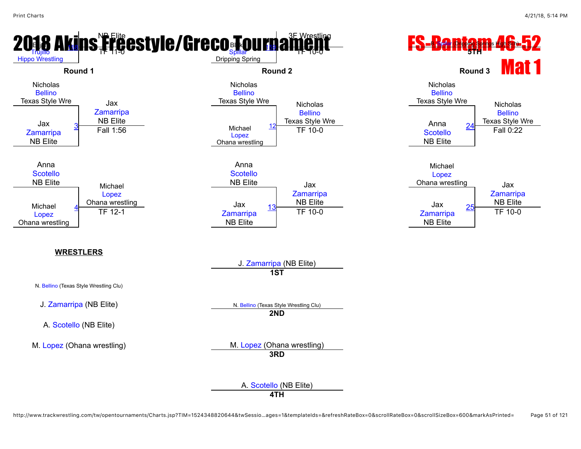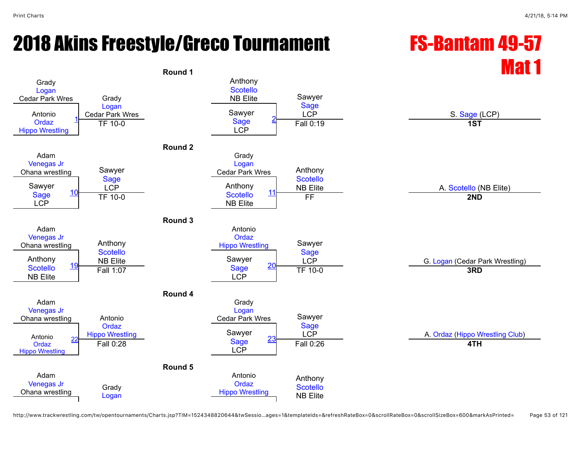# 2018 Akins Freestyle/Greco Tournament FS-Bantam 49-57

# Round 1 **Mat 1** Round 1

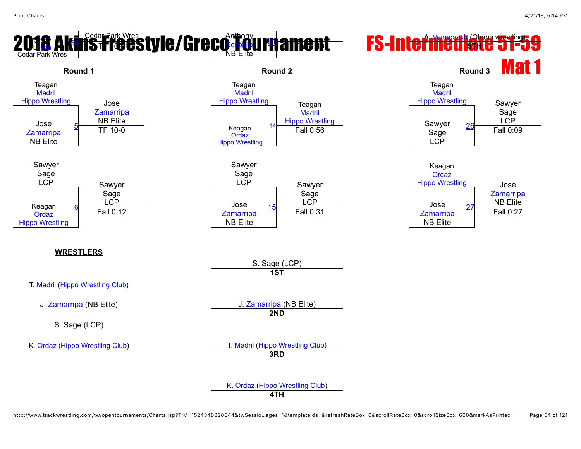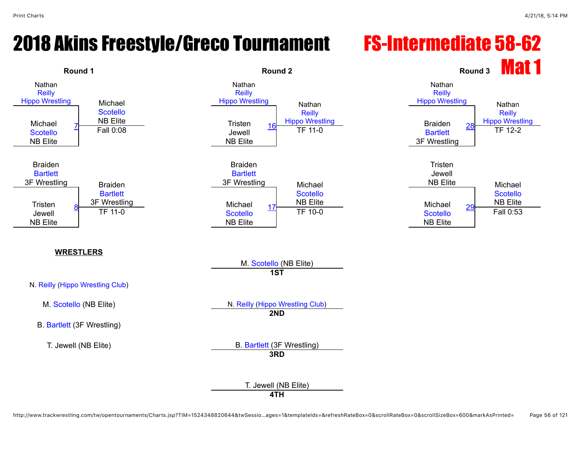### 2018 Akins Freestyle/Greco Tournament FS-Intermediate 58-62

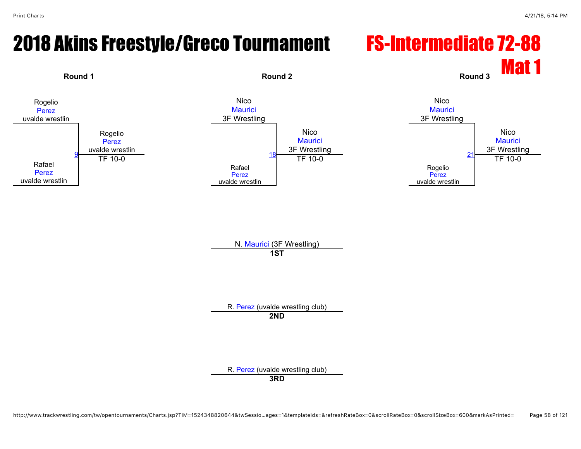# 2018 Akins Freestyle/Greco Tournament FS-Intermediate 72-88



N. [Maurici](javascript:viewProfile(644023096)) (3F Wrestling) **1ST**

R. [Perez](javascript:viewProfile(110633096)) (uvalde wrestling club) **2ND**

R. [Perez](javascript:viewProfile(110628096)) (uvalde wrestling club)

http://www.trackwrestling.com/tw/opentournaments/Charts.jsp?TIM=1524348820644&twSessio…ages=1&templateIds=&refreshRateBox=0&scrollRateBox=0&scrollSizeBox=600&markAsPrinted= Page 58 of 121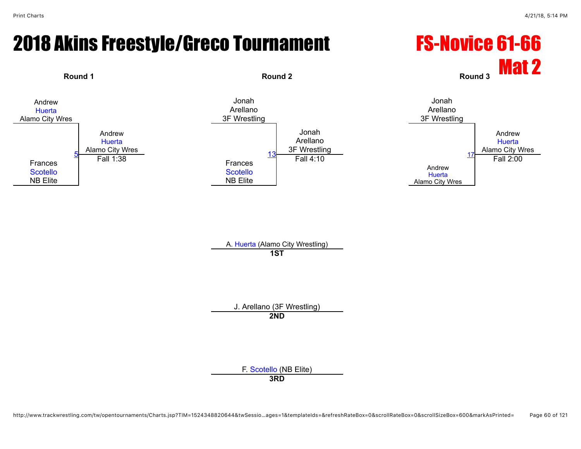# 2018 Akins Freestyle/Greco Tournament FS-Novice 61-66



A. [Huerta](javascript:viewProfile(1556734009)) (Alamo City Wrestling) **1ST**

J. Arellano (3F Wrestling) **2ND**

F. [Scotello](javascript:viewProfile(1537542096)) (NB Elite)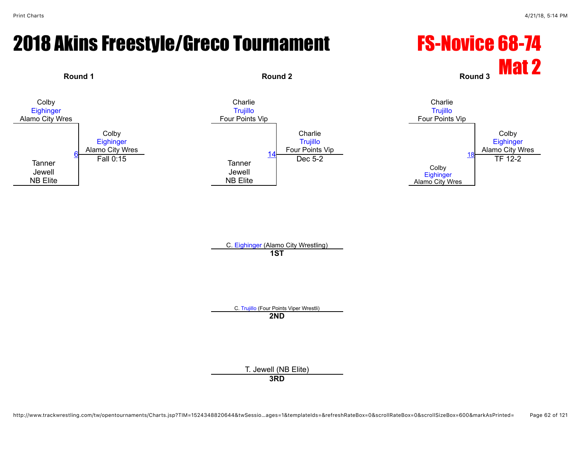# 2018 Akins Freestyle/Greco Tournament FS-Novice 68-74



C. [Trujillo](javascript:viewProfile(1008665009)) (Four Points Viper Wrestli) **2ND**

T. Jewell (NB Elite)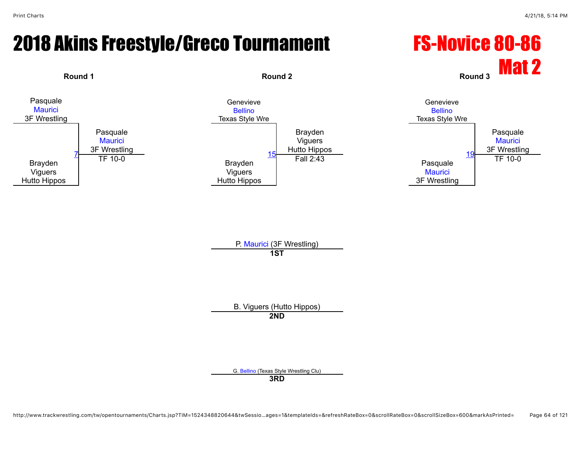# 2018 Akins Freestyle/Greco Tournament FS-Novice 80-86



P. [Maurici](javascript:viewProfile(644025096)) (3F Wrestling) **1ST**

B. Viguers (Hutto Hippos) **2ND**

G. [Bellino](javascript:viewProfile(629149132)) (Texas Style Wrestling Clu)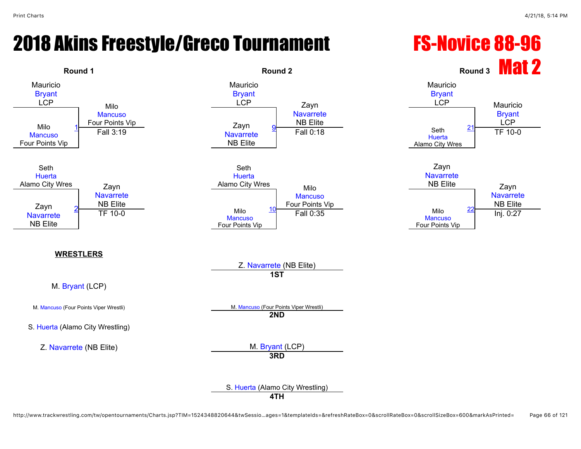# 2018 Akins Freestyle/Greco Tournament FS-Novice 88-96

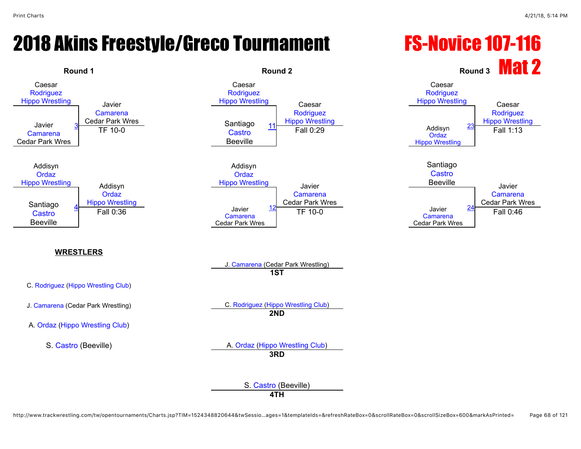# 2018 Akins Freestyle/Greco Tournament FS-Novice 107-116

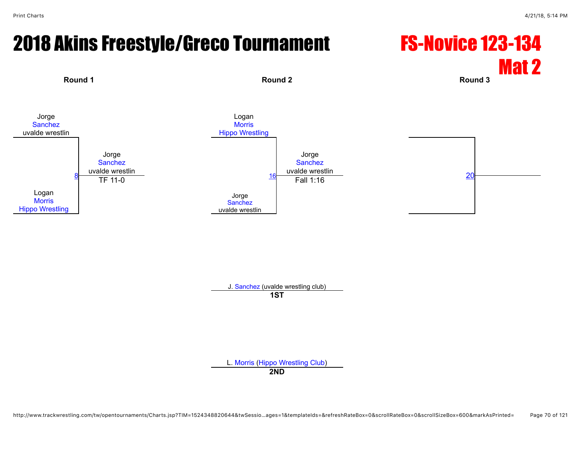#### 2018 Akins Freestyle/Greco Tournament FS-Novice 123-134



J. [Sanchez](javascript:viewProfile(1122303096)) (uvalde wrestling club)

**1ST**

L. [Morris](javascript:viewProfile(627103132)) ([Hippo Wrestling Club\)](javascript:viewClub(257903009))

**2ND**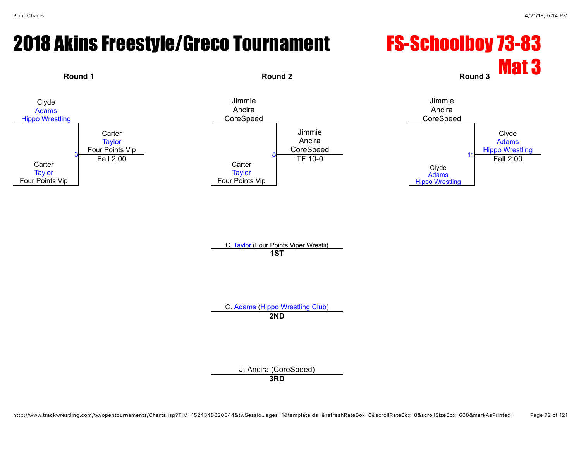#### 2018 Akins Freestyle/Greco Tournament FS-Schoolboy 73-83



C. [Taylor](javascript:viewProfile(47654096)) (Four Points Viper Wrestli) **1ST**

C. [Adams](javascript:viewProfile(935208096)) [\(Hippo Wrestling Club](javascript:viewClub(257903009))) **2ND**

> J. Ancira (CoreSpeed) **3RD**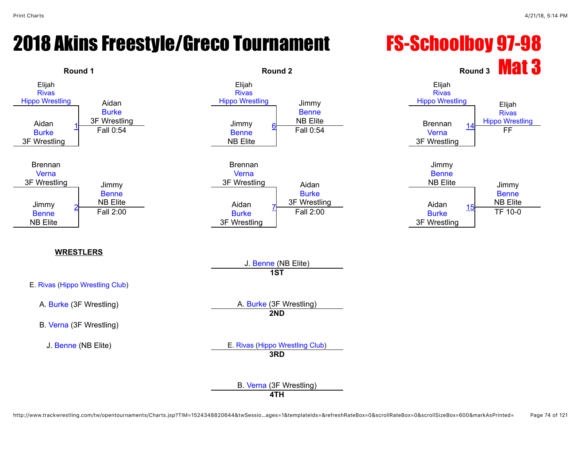#### 2018 Akins Freestyle/Greco Tournament FS-Schoolboy 97-98

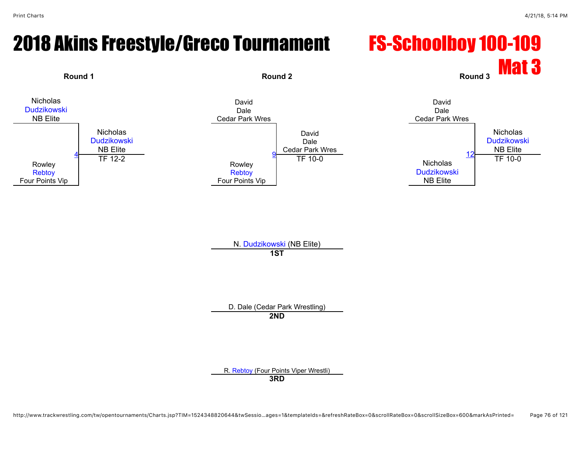#### 2018 Akins Freestyle/Greco Tournament FS-Schoolboy 100-109



N. [Dudzikowski](javascript:viewProfile(650653096)) (NB Elite) **1ST**

D. Dale (Cedar Park Wrestling) **2ND**

R. [Rebtoy](javascript:viewProfile(1008918009)) (Four Points Viper Wrestli)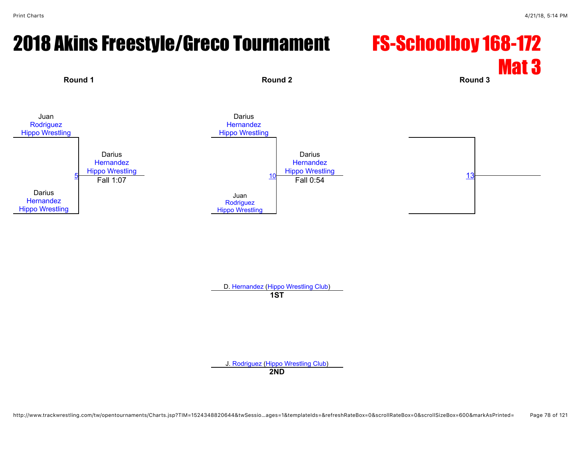#### 2018 Akins Freestyle/Greco Tournament FS-Schoolboy 168-172

# Mat 3



D. [Hernandez](javascript:viewProfile(2510123)) ([Hippo Wrestling Club](javascript:viewClub(257903009))) **1ST**

J. [Rodriguez](javascript:viewProfile(25406132)) [\(Hippo Wrestling Club\)](javascript:viewClub(257903009))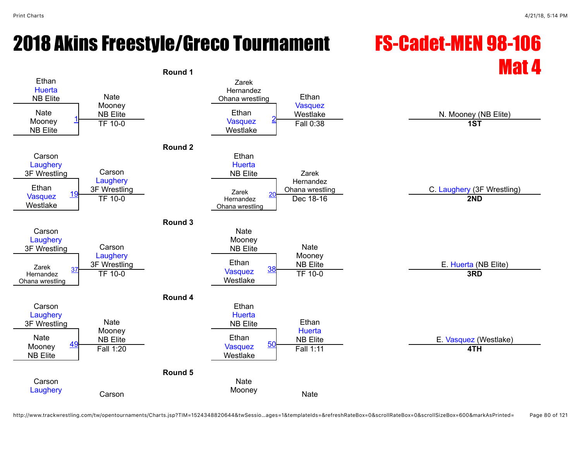## Round 1 **Mat 4** Round 1



http://www.trackwrestling.com/tw/opentournaments/Charts.jsp?TIM=1524348820644&twSessio…ages=1&templateIds=&refreshRateBox=0&scrollRateBox=0&scrollSizeBox=600&markAsPrinted= Page 80 of 121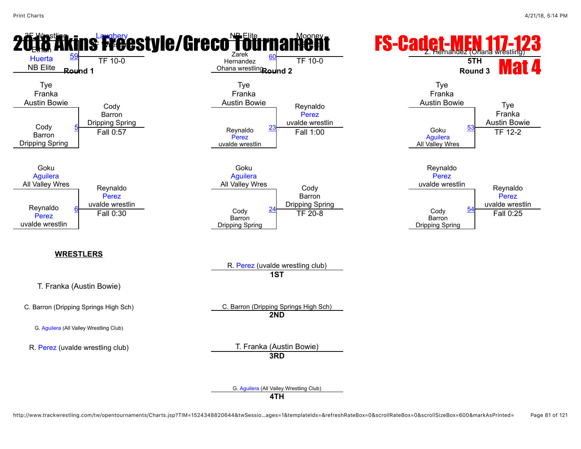

http://www.trackwrestling.com/tw/opentournaments/Charts.jsp?TIM=1524348820644&twSessio…ages=1&templateIds=&refreshRateBox=0&scrollRateBox=0&scrollSizeBox=600&markAsPrinted= Page 81 of 121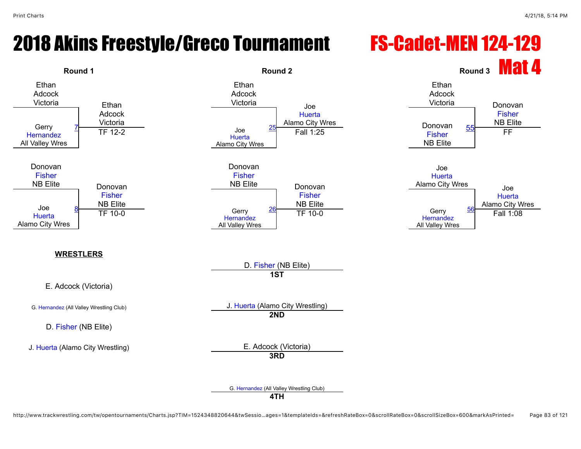#### 2018 Akins Freestyle/Greco Tournament FS-Cadet-MEN 124-129

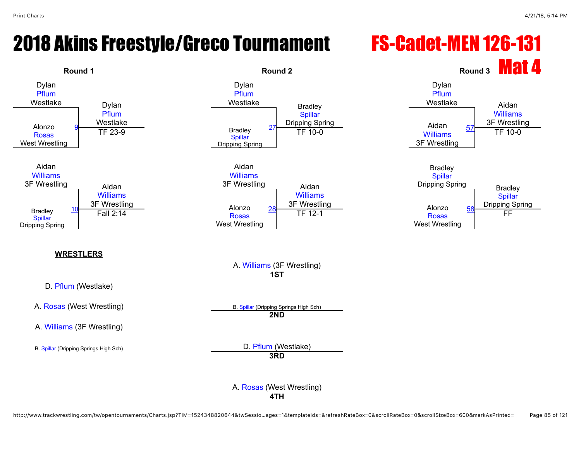#### 2018 Akins Freestyle/Greco Tournament FS-Cadet-MEN 126-131



http://www.trackwrestling.com/tw/opentournaments/Charts.jsp?TIM=1524348820644&twSessio…ages=1&templateIds=&refreshRateBox=0&scrollRateBox=0&scrollSizeBox=600&markAsPrinted= Page 85 of 121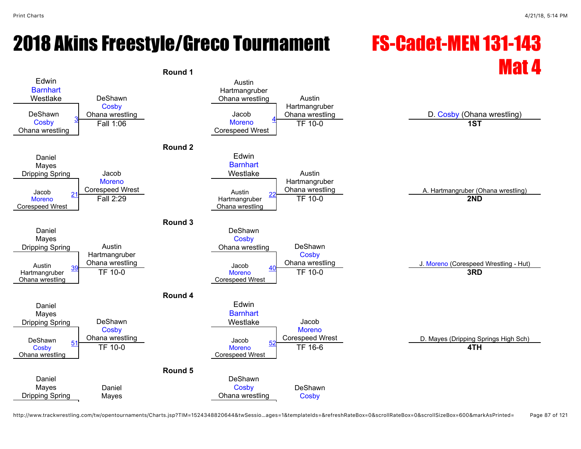### 2018 Akins Freestyle/Greco Tournament FS-Cadet-MEN 131-143



http://www.trackwrestling.com/tw/opentournaments/Charts.jsp?TIM=1524348820644&twSessio…ages=1&templateIds=&refreshRateBox=0&scrollRateBox=0&scrollSizeBox=600&markAsPrinted= Page 87 of 121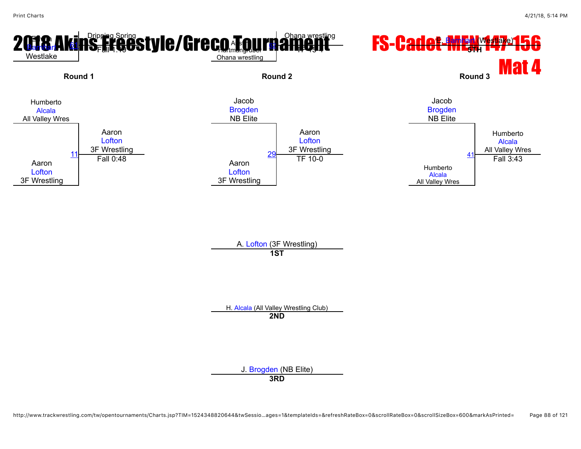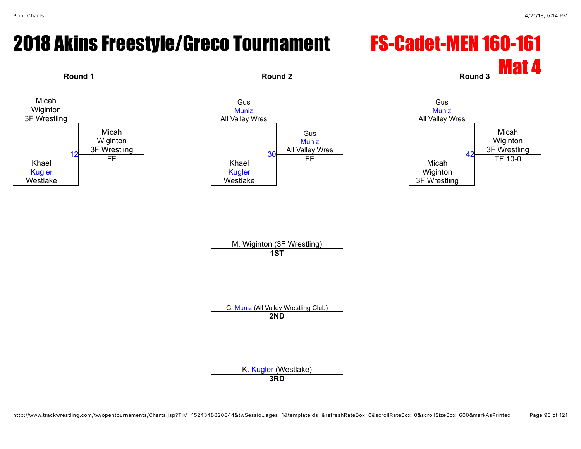#### 2018 Akins Freestyle/Greco Tournament FS-Cadet-MEN 160-161



M. Wiginton (3F Wrestling) **1ST**

G. [Muniz](javascript:viewProfile(651679132)) (All Valley Wrestling Club) **2ND**

K. [Kugler](javascript:viewProfile(1789942096)) (Westlake)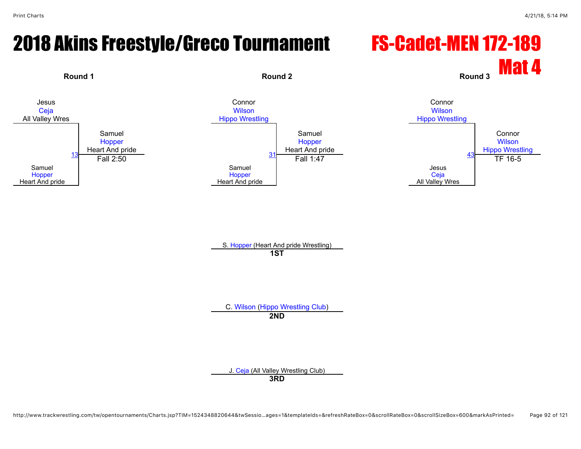#### 2018 Akins Freestyle/Greco Tournament FS-Cadet-MEN 172-189



S. [Hopper](javascript:viewProfile(1745194096)) (Heart And pride Wrestling) **1ST**

C. [Wilson](javascript:viewProfile(1008759009)) [\(Hippo Wrestling Club](javascript:viewClub(257903009))) **2ND**

J. [Ceja](javascript:viewProfile(652063132)) (All Valley Wrestling Club)

http://www.trackwrestling.com/tw/opentournaments/Charts.jsp?TIM=1524348820644&twSessio…ages=1&templateIds=&refreshRateBox=0&scrollRateBox=0&scrollSizeBox=600&markAsPrinted= Page 92 of 121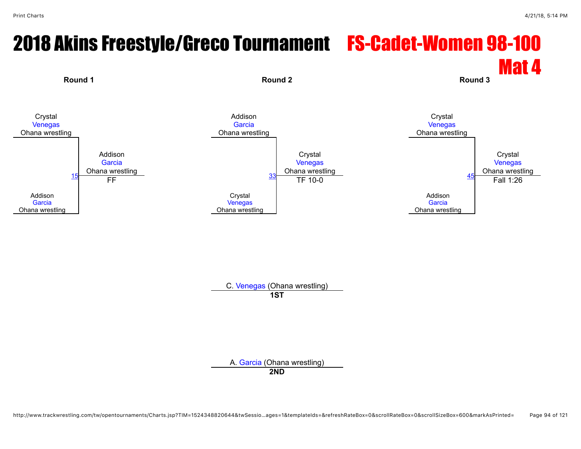#### 2018 Akins Freestyle/Greco Tournament FS-Cadet-Women 98-100 Mat 4



C. [Venegas](javascript:viewProfile(1099322009)) (Ohana wrestling) **1ST**

A. [Garcia](javascript:viewProfile(955151096)) (Ohana wrestling)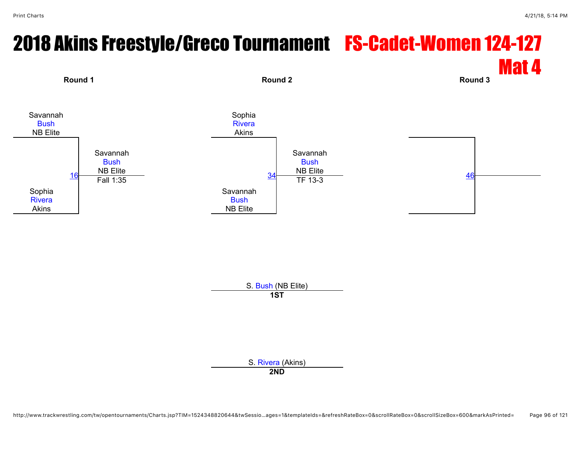### 2018 Akins Freestyle/Greco Tournament FS-Cadet-Women 124-127 Mat 4 **Round 1 Round 2 Round 3**



S. [Bush](javascript:viewProfile(1158736096)) (NB Elite) **1ST**

S. [Rivera](javascript:viewProfile(379710132)) (Akins)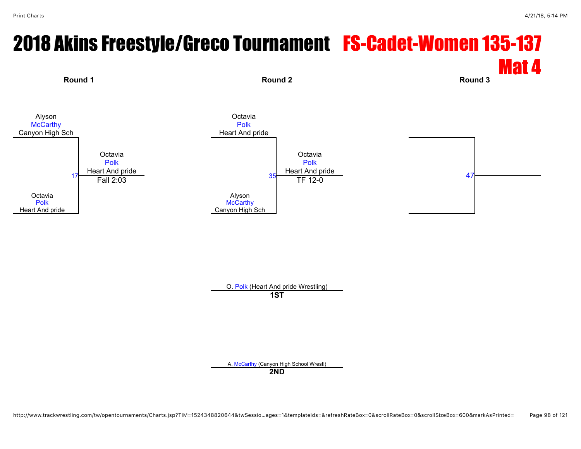#### 2018 Akins Freestyle/Greco Tournament FS-Cadet-Women 135-137 Mat 4 **Round 1 Round 2 Round 3** Alyson **[McCarthy](javascript:viewProfile(628018132))** Canyon High Sch **Octavia** [Polk](javascript:viewProfile(1745425096)) Heart And pride **Octavia** [Polk](javascript:viewProfile(1745425096)) Heart And pride **Octavia** [Polk](javascript:viewProfile(1745425096)) Heart And pride **Octavia** [Polk](javascript:viewProfile(1745425096)) Heart And pride [17](javascript:openBoutSheet(1,) Alyson **[McCarthy](javascript:viewProfile(628018132))** Canyon High Sch  $\frac{35}{\text{TF}} \frac{12-0}{203}$  $\frac{35}{\text{TF}} \frac{12-0}{203}$  $\frac{35}{\text{TF}} \frac{12-0}{203}$  and  $\frac{47}{\text{A}}$  $\frac{47}{\text{A}}$  $\frac{47}{\text{A}}$

O. [Polk](javascript:viewProfile(1745425096)) (Heart And pride Wrestling)

**1ST**

A. [McCarthy](javascript:viewProfile(628018132)) (Canyon High School Wrestl)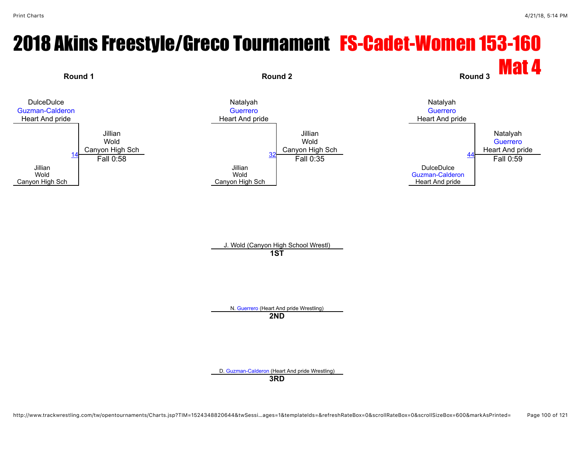## 2018 Akins Freestyle/Greco Tournament FS-Cadet-Women 153-160



N. [Guerrero](javascript:viewProfile(1744962096)) (Heart And pride Wrestling)

**2ND**

D. [Guzman-Calderon](javascript:viewProfile(651892132)) (Heart And pride Wrestling)

**3RD**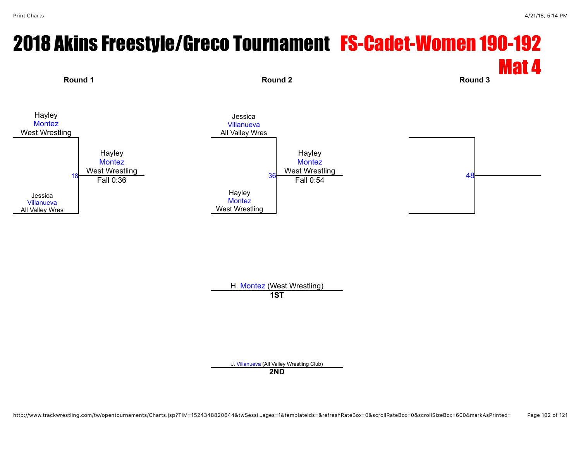#### 2018 Akins Freestyle/Greco Tournament FS-Cadet-Women 190-192 Mat 4



H. [Montez](javascript:viewProfile(651601132)) (West Wrestling) **1ST**

J. [Villanueva](javascript:viewProfile(652059132)) (All Valley Wrestling Club)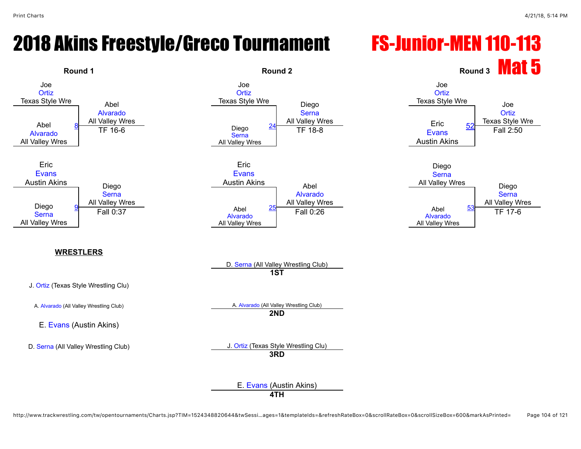#### 2018 Akins Freestyle/Greco Tournament FS-Junior-MEN 110-113

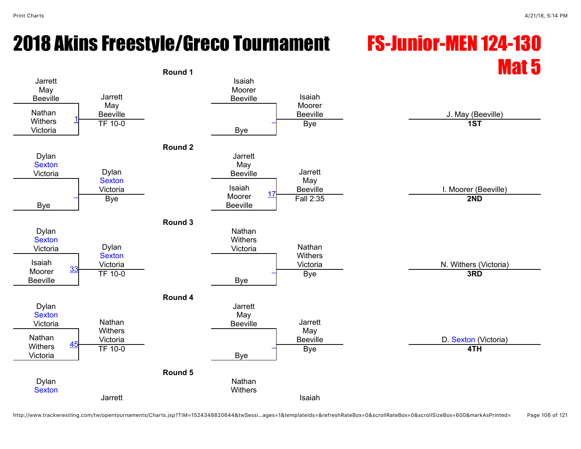#### 2018 Akins Freestyle/Greco Tournament FS-Junior-MEN 124-130

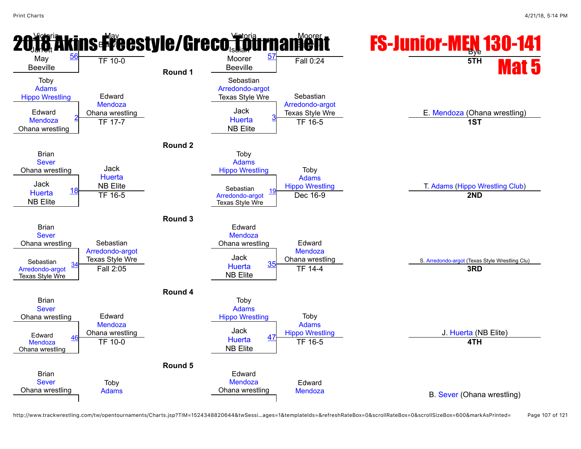

http://www.trackwrestling.com/tw/opentournaments/Charts.jsp?TIM=1524348820644&twSessi…ages=1&templateIds=&refreshRateBox=0&scrollRateBox=0&scrollSizeBox=600&markAsPrinted= Page 107 of 121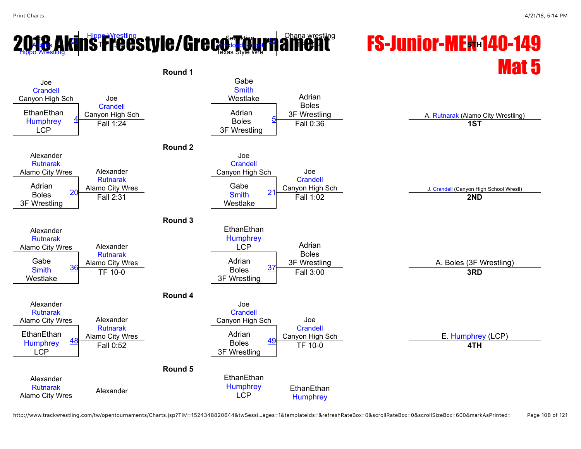#### **2[018](javascript:viewProfile(935233096)) A[ki](javascript:openBoutSheet(9,)<mark>[n](javascript:openBoutSheet(10,)s Freeswesting</mark> style/Greco Germany americant FS-Junior-MEN 140-149** Mat 5 to Adams [Hippo Wrestling](javascript:viewClub(257903009)) Texas Style Wre Ohana wrestling T**F 13-3 TF 10-00-0 TF 13-4 TF 10-0 10-0 TF 10-0 TF 10-0 TF 10-0 TF 10-0 TF 10-0 TF 10-0 TF 10-0 TF 10-0 TF 5TH Round 1** Joe **[Crandell](javascript:viewProfile(1163670096))** Canyon High Sch Joe **[Crandell](javascript:viewProfile(1163670096))** Canyon High Sch Gabe **[Smith](javascript:viewProfile(652349132))** Westlake **Adrian** Boles EthanEthan Canyon High Sch **Adrian** Adrian Adrian 2. Set Wrestling A. [Rutnarak](javascript:viewProfile(1757850096)) (Alamo City Wrestling) **[Humphrey](javascript:viewProfile(651919132))** LCP [4](javascript:openBoutSheet(1,) **Adrian** Boles 3F Wrestling Fall 1:24 **1. A. Additional Act of the Contract Section** Specific Science of the Specific Science of the Specific Science of the Specific Science of the Specific Science of the Specific Science of the Specific Science of t **Round 2** Alexander [Rutnarak](javascript:viewProfile(1757850096)) Alamo City Wres Alexander [Rutnarak](javascript:viewProfile(1757850096)) Alamo City Wres Joe **[Crandell](javascript:viewProfile(1163670096))** Canyon High Sch Joe **[Crandell](javascript:viewProfile(1163670096))** Adrian 20 Alamo City Wres Gabe Gabe Canyon High Sch J. [Crandell](javascript:viewProfile(1163670096)) (Canyon High School Wrestl) Boles 3F Wrestling  $20$ Gabe **[Smith](javascript:viewProfile(652349132))** Westlake <u>[21](javascript:openBoutSheet(4,) Canyon ng Carl Carl Canyon ng Carl Canyon ng Tall 1:02</u><br>
Fall 1:02 **2ND Round 3** Alexander [Rutnarak](javascript:viewProfile(1757850096)) Alamo City Wres Alexander [Rutnarak](javascript:viewProfile(1757850096)) Alamo City Wres **EthanEthan [Humphrey](javascript:viewProfile(651919132))** LCP Adrian Boles Gabe 36 Alamo City Wres **3F Alamo 26 Addin** 3F Wrestling 3F Wrestling 3F Wrestling 37 A. Boles (3F Wrestling) Westlake [36](javascript:openBoutSheet(5,) Adrian Boles 3F Wrestling <u>1.5 City with Superintendence of the Superintendence of the Superintendence of the Superintendence of the Superintendence of the Superintendence of the Superintendence of the Superintendence of the Superintendence of the </u> **Round 4** Alexander [Rutnarak](javascript:viewProfile(1757850096)) Alamo City Wres Alexander [Rutnarak](javascript:viewProfile(1757850096)) Alamo City Wres Joe **[Crandell](javascript:viewProfile(1163670096))** Canyon High Sch Joe **[Crandell](javascript:viewProfile(1163670096))** EthanEthan <u>Alamo City Wres</u> Manus Adrian Adrian Adrian Canyon High Sch E. [Humphrey](javascript:viewProfile(651919132)) (LCP)<br>
Humphrey 48 Fall 0:52 Boles 49 TF 10-0 LCP [48](javascript:openBoutSheet(7,) Adrian Boles 3F Wrestling [49](javascript:openBoutSheet(8,) Fall 0:52 TF 10-0 **4TH Round 5** Alexander [Rutnarak](javascript:viewProfile(1757850096)) **Alexander**<br>Alamo City Wres **Alexander EthanEthan [Humphrey](javascript:viewProfile(651919132))** LCP **EthanEthan [Humphrey](javascript:viewProfile(651919132))**

http://www.trackwrestling.com/tw/opentournaments/Charts.jsp?TIM=1524348820644&twSessi…ages=1&templateIds=&refreshRateBox=0&scrollRateBox=0&scrollSizeBox=600&markAsPrinted= Page 108 of 121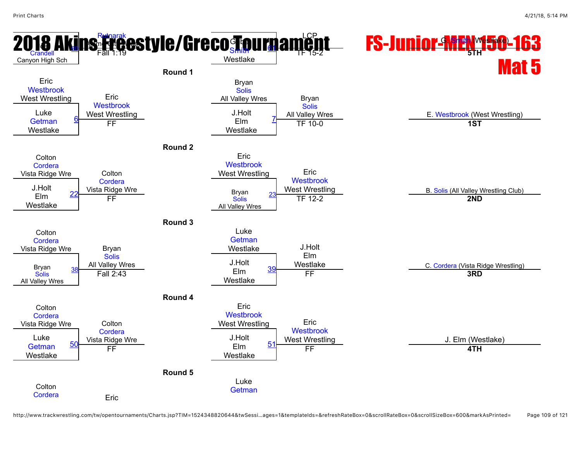

http://www.trackwrestling.com/tw/opentournaments/Charts.jsp?TIM=1524348820644&twSessi…ages=1&templateIds=&refreshRateBox=0&scrollRateBox=0&scrollSizeBox=600&markAsPrinted= Page 109 of 121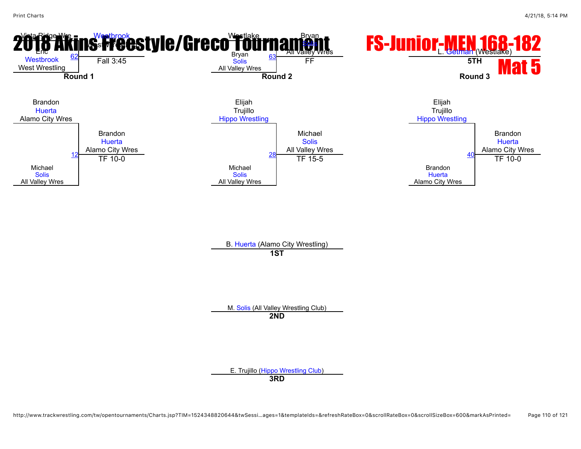

M. [Solis](javascript:viewProfile(10523013)) (All Valley Wrestling Club) **2ND**

E. Trujillo ([Hippo Wrestling Club](javascript:viewClub(257903009))) **3RD**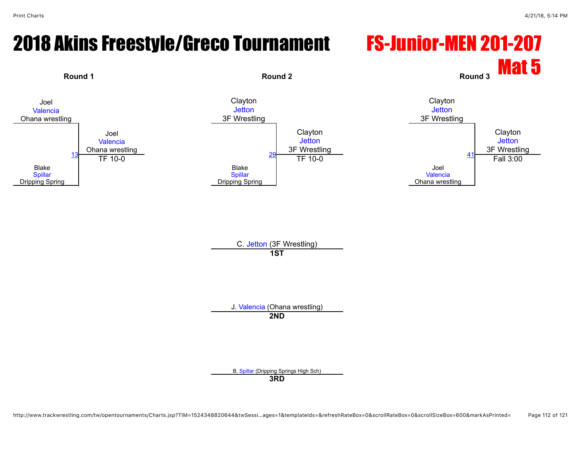### 2018 Akins Freestyle/Greco Tournament FS-Junior-MEN 201-207



C. [Jetton](javascript:viewProfile(1098953096)) (3F Wrestling) **1ST**

J. [Valencia](javascript:viewProfile(12504107)) (Ohana wrestling)

**2ND**

B. [Spillar](javascript:viewProfile(1100715096)) (Dripping Springs High Sch)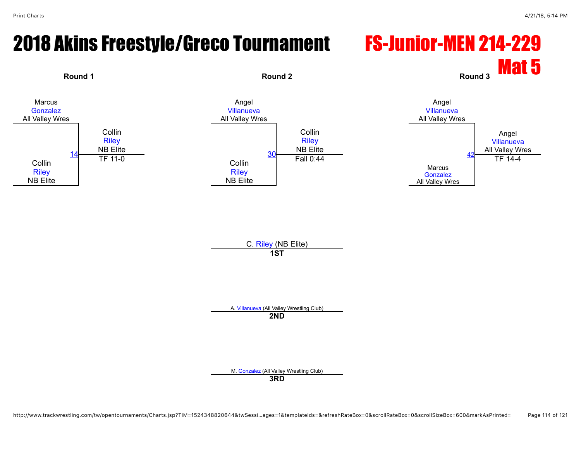### 2018 Akins Freestyle/Greco Tournament FS-Junior-MEN 214-229



C. [Riley](javascript:viewProfile(75406009)) (NB Elite) **1ST**

A. [Villanueva](javascript:viewProfile(1414326096)) (All Valley Wrestling Club)

**2ND**

M. [Gonzalez](javascript:viewProfile(651675132)) (All Valley Wrestling Club)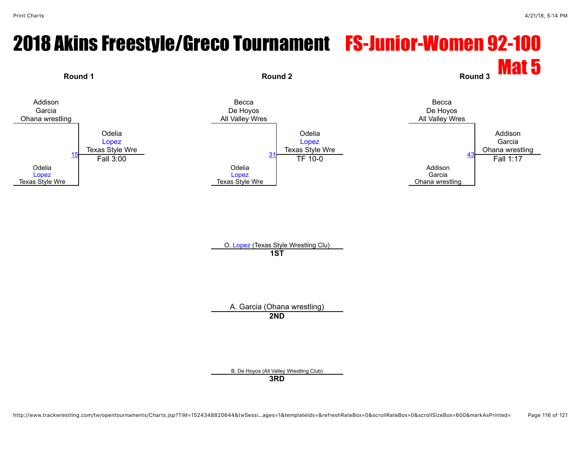# 2018 Akins Freestyle/Greco Tournament FS-Junior-Women 92-100



A. Garcia (Ohana wrestling) **2ND**

B. De Hoyos (All Valley Wrestling Club)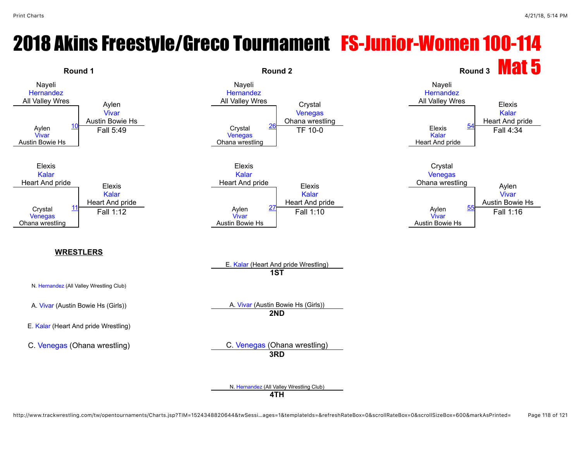#### 2018 Akins Freestyle/Greco Tournament FS-Junior-Women 100-114